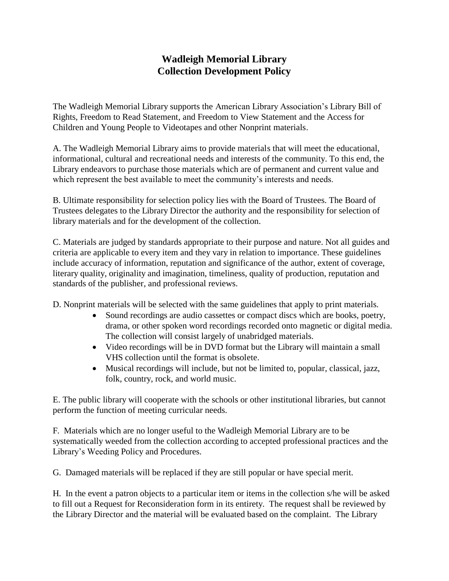## **Wadleigh Memorial Library Collection Development Policy**

The Wadleigh Memorial Library supports the American Library Association's Library Bill of Rights, Freedom to Read Statement, and Freedom to View Statement and the Access for Children and Young People to Videotapes and other Nonprint materials.

A. The Wadleigh Memorial Library aims to provide materials that will meet the educational, informational, cultural and recreational needs and interests of the community. To this end, the Library endeavors to purchase those materials which are of permanent and current value and which represent the best available to meet the community's interests and needs.

B. Ultimate responsibility for selection policy lies with the Board of Trustees. The Board of Trustees delegates to the Library Director the authority and the responsibility for selection of library materials and for the development of the collection.

C. Materials are judged by standards appropriate to their purpose and nature. Not all guides and criteria are applicable to every item and they vary in relation to importance. These guidelines include accuracy of information, reputation and significance of the author, extent of coverage, literary quality, originality and imagination, timeliness, quality of production, reputation and standards of the publisher, and professional reviews.

D. Nonprint materials will be selected with the same guidelines that apply to print materials.

- Sound recordings are audio cassettes or compact discs which are books, poetry, drama, or other spoken word recordings recorded onto magnetic or digital media. The collection will consist largely of unabridged materials.
- Video recordings will be in DVD format but the Library will maintain a small VHS collection until the format is obsolete.
- Musical recordings will include, but not be limited to, popular, classical, jazz, folk, country, rock, and world music.

E. The public library will cooperate with the schools or other institutional libraries, but cannot perform the function of meeting curricular needs.

F. Materials which are no longer useful to the Wadleigh Memorial Library are to be systematically weeded from the collection according to accepted professional practices and the Library's Weeding Policy and Procedures.

G. Damaged materials will be replaced if they are still popular or have special merit.

H. In the event a patron objects to a particular item or items in the collection s/he will be asked to fill out a Request for Reconsideration form in its entirety. The request shall be reviewed by the Library Director and the material will be evaluated based on the complaint. The Library